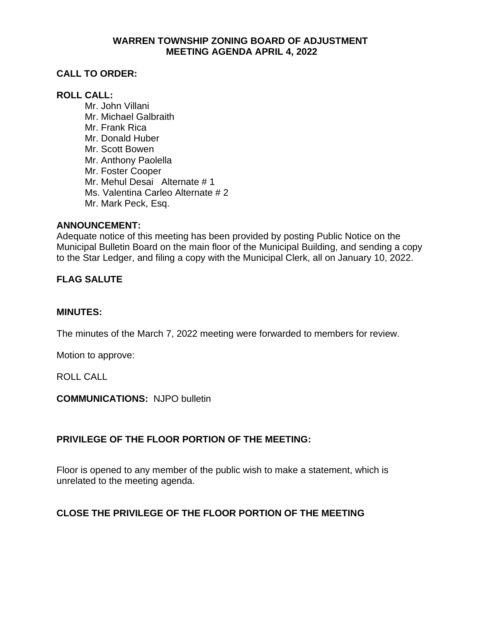### **WARREN TOWNSHIP ZONING BOARD OF ADJUSTMENT MEETING AGENDA APRIL 4, 2022**

# **CALL TO ORDER:**

## **ROLL CALL:**

Mr. John Villani Mr. Michael Galbraith Mr. Frank Rica Mr. Donald Huber Mr. Scott Bowen Mr. Anthony Paolella Mr. Foster Cooper Mr. Mehul Desai Alternate # 1 Ms. Valentina Carleo Alternate # 2 Mr. Mark Peck, Esq.

### **ANNOUNCEMENT:**

Adequate notice of this meeting has been provided by posting Public Notice on the Municipal Bulletin Board on the main floor of the Municipal Building, and sending a copy to the Star Ledger, and filing a copy with the Municipal Clerk, all on January 10, 2022.

# **FLAG SALUTE**

#### **MINUTES:**

The minutes of the March 7, 2022 meeting were forwarded to members for review.

Motion to approve:

ROLL CALL

#### **COMMUNICATIONS:** NJPO bulletin

## **PRIVILEGE OF THE FLOOR PORTION OF THE MEETING:**

Floor is opened to any member of the public wish to make a statement, which is unrelated to the meeting agenda.

## **CLOSE THE PRIVILEGE OF THE FLOOR PORTION OF THE MEETING**